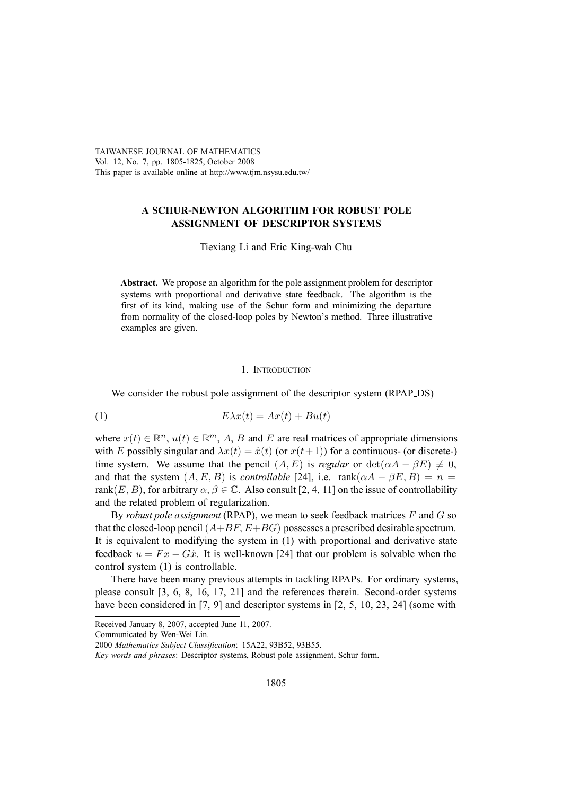TAIWANESE JOURNAL OF MATHEMATICS Vol. 12, No. 7, pp. 1805-1825, October 2008 This paper is available online at http://www.tjm.nsysu.edu.tw/

# **A SCHUR-NEWTON ALGORITHM FOR ROBUST POLE ASSIGNMENT OF DESCRIPTOR SYSTEMS**

Tiexiang Li and Eric King-wah Chu

**Abstract.** We propose an algorithm for the pole assignment problem for descriptor systems with proportional and derivative state feedback. The algorithm is the first of its kind, making use of the Schur form and minimizing the departure from normality of the closed-loop poles by Newton's method. Three illustrative examples are given.

# 1. INTRODUCTION

We consider the robust pole assignment of the descriptor system (RPAP\_DS)

(1) Eλx(t) = Ax(t) + Bu(t)

where  $x(t) \in \mathbb{R}^n$ ,  $u(t) \in \mathbb{R}^m$ , A, B and E are real matrices of appropriate dimensions with E possibly singular and  $\lambda x(t) = \dot{x}(t)$  (or  $x(t+1)$ ) for a continuous- (or discrete-) time system. We assume that the pencil  $(A, E)$  is *regular* or  $det(\alpha A - \beta E) \neq 0$ , and that the system  $(A, E, B)$  is *controllable* [24], i.e.  $rank(\alpha A - \beta E, B) = n$ rank $(E, B)$ , for arbitrary  $\alpha, \beta \in \mathbb{C}$ . Also consult [2, 4, 11] on the issue of controllability and the related problem of regularization.

By *robust pole assignment* (RPAP), we mean to seek feedback matrices F and G so that the closed-loop pencil  $(A+BF, E+BG)$  possesses a prescribed desirable spectrum. It is equivalent to modifying the system in (1) with proportional and derivative state feedback  $u = Fx - G\dot{x}$ . It is well-known [24] that our problem is solvable when the control system (1) is controllable.

There have been many previous attempts in tackling RPAPs. For ordinary systems, please consult [3, 6, 8, 16, 17, 21] and the references therein. Second-order systems have been considered in [7, 9] and descriptor systems in [2, 5, 10, 23, 24] (some with

Communicated by Wen-Wei Lin.

Received January 8, 2007, accepted June 11, 2007.

<sup>2000</sup> *Mathematics Subject Classification*: 15A22, 93B52, 93B55.

*Key words and phrases*: Descriptor systems, Robust pole assignment, Schur form.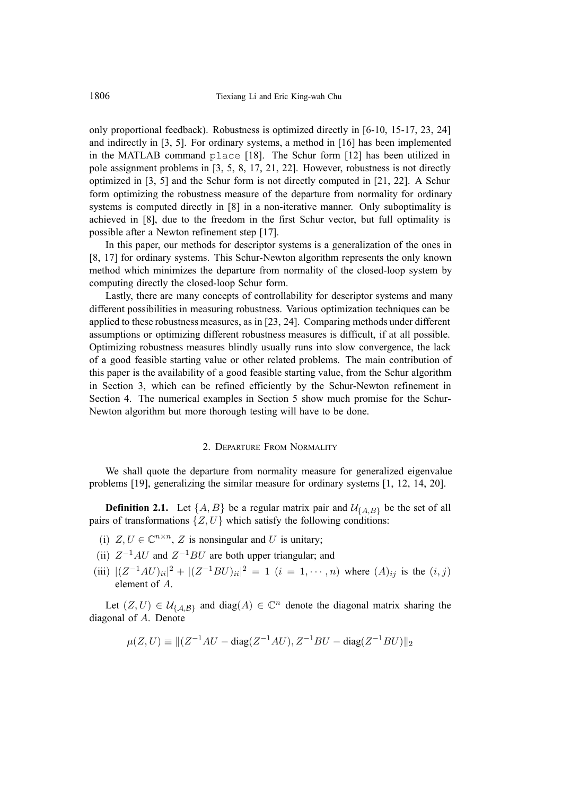only proportional feedback). Robustness is optimized directly in [6-10, 15-17, 23, 24] and indirectly in [3, 5]. For ordinary systems, a method in [16] has been implemented in the MATLAB command place [18]. The Schur form [12] has been utilized in pole assignment problems in [3, 5, 8, 17, 21, 22]. However, robustness is not directly optimized in [3, 5] and the Schur form is not directly computed in [21, 22]. A Schur form optimizing the robustness measure of the departure from normality for ordinary systems is computed directly in [8] in a non-iterative manner. Only suboptimality is achieved in [8], due to the freedom in the first Schur vector, but full optimality is possible after a Newton refinement step [17].

In this paper, our methods for descriptor systems is a generalization of the ones in [8, 17] for ordinary systems. This Schur-Newton algorithm represents the only known method which minimizes the departure from normality of the closed-loop system by computing directly the closed-loop Schur form.

Lastly, there are many concepts of controllability for descriptor systems and many different possibilities in measuring robustness. Various optimization techniques can be applied to these robustness measures, as in [23, 24]. Comparing methods under different assumptions or optimizing different robustness measures is difficult, if at all possible. Optimizing robustness measures blindly usually runs into slow convergence, the lack of a good feasible starting value or other related problems. The main contribution of this paper is the availability of a good feasible starting value, from the Schur algorithm in Section 3, which can be refined efficiently by the Schur-Newton refinement in Section 4. The numerical examples in Section 5 show much promise for the Schur-Newton algorithm but more thorough testing will have to be done.

#### 2. DEPARTURE FROM NORMALITY

We shall quote the departure from normality measure for generalized eigenvalue problems [19], generalizing the similar measure for ordinary systems [1, 12, 14, 20].

**Definition 2.1.** Let  $\{A, B\}$  be a regular matrix pair and  $\mathcal{U}_{\{A, B\}}$  be the set of all pairs of transformations  $\{Z, U\}$  which satisfy the following conditions:

- (i)  $Z, U \in \mathbb{C}^{n \times n}$ , Z is nonsingular and U is unitary;
- (ii)  $Z^{-1}AU$  and  $Z^{-1}BU$  are both upper triangular; and
- (iii)  $|(Z^{-1}AU)_{ii}|^2 + |(Z^{-1}BU)_{ii}|^2 = 1$   $(i = 1, \dots, n)$  where  $(A)_{ij}$  is the  $(i, j)$ element of A.

Let  $(Z, U) \in \mathcal{U}_{\{A, B\}}$  and diag(A)  $\in \mathbb{C}^n$  denote the diagonal matrix sharing the diagonal of A. Denote

$$
\mu(Z, U) \equiv ||(Z^{-1}AU - \text{diag}(Z^{-1}AU), Z^{-1}BU - \text{diag}(Z^{-1}BU)||_2
$$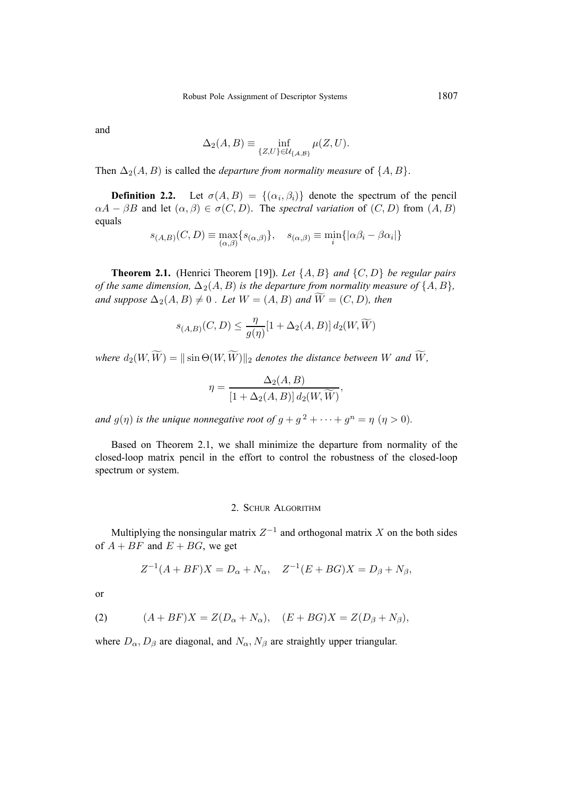and

$$
\Delta_2(A, B) \equiv \inf_{\{Z, U\} \in \mathcal{U}_{\{A, B\}}} \mu(Z, U).
$$

Then  $\Delta_2(A, B)$  is called the *departure from normality measure* of  $\{A, B\}$ .

**Definition 2.2.** Let  $\sigma(A, B) = \{(\alpha_i, \beta_i)\}\)$  denote the spectrum of the pencil  $\alpha A - \beta B$  and let  $(\alpha, \beta) \in \sigma(C, D)$ . The *spectral variation* of  $(C, D)$  from  $(A, B)$ equals

$$
s_{(A,B)}(C,D) \equiv \max_{(\alpha,\beta)} \{ s_{(\alpha,\beta)} \}, \quad s_{(\alpha,\beta)} \equiv \min_i \{ |\alpha\beta_i - \beta\alpha_i| \}
$$

**Theorem 2.1.** (Henrici Theorem [19]). *Let* {A, B} *and* {C, D} *be regular pairs of the same dimension,*  $\Delta_2(A, B)$  *is the departure from normality measure of*  $\{A, B\}$ *,* and suppose  $\Delta_2(A, B) \neq 0$ . Let  $W = (A, B)$  and  $W = (C, D)$ , then

$$
s_{(A,B)}(C,D) \le \frac{\eta}{g(\eta)}[1+\Delta_2(A,B)] d_2(W,\widetilde{W})
$$

where  $d_2(W, W) = ||\sin \Theta(W, W)||_2$  denotes the distance between W and W,

$$
\eta = \frac{\Delta_2(A, B)}{[1 + \Delta_2(A, B)] d_2(W, \widetilde{W})},
$$

*and*  $g(\eta)$  *is the unique nonnegative root of*  $g + g^2 + \cdots + g^n = \eta$  ( $\eta > 0$ ).

Based on Theorem 2.1, we shall minimize the departure from normality of the closed-loop matrix pencil in the effort to control the robustness of the closed-loop spectrum or system.

#### 2. SCHUR ALGORITHM

Multiplying the nonsingular matrix  $Z^{-1}$  and orthogonal matrix X on the both sides of  $A + BF$  and  $E + BG$ , we get

$$
Z^{-1}(A + BF)X = D_{\alpha} + N_{\alpha}, \quad Z^{-1}(E + BG)X = D_{\beta} + N_{\beta},
$$

or

(2) 
$$
(A + BF)X = Z(D_{\alpha} + N_{\alpha}), \quad (E + BG)X = Z(D_{\beta} + N_{\beta}),
$$

where  $D_{\alpha}$ ,  $D_{\beta}$  are diagonal, and  $N_{\alpha}$ ,  $N_{\beta}$  are straightly upper triangular.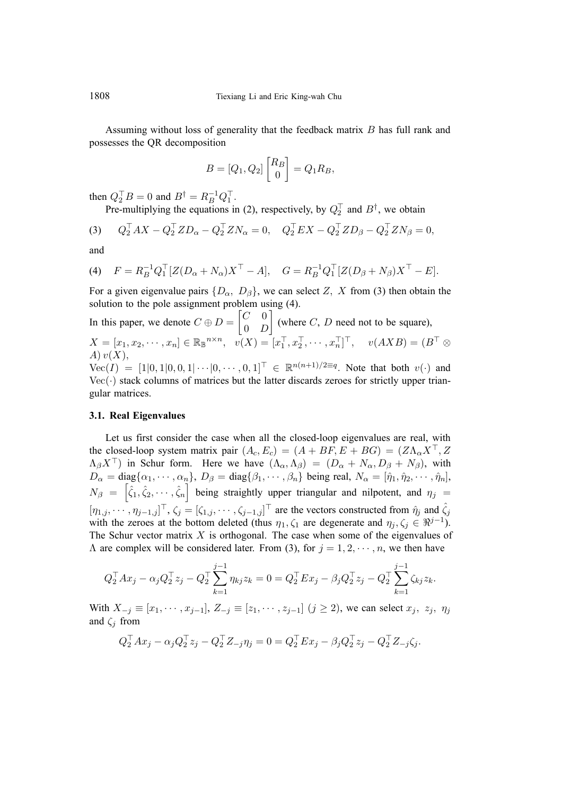Assuming without loss of generality that the feedback matrix B has full rank and possesses the QR decomposition

$$
B=[Q_1,Q_2]\begin{bmatrix} R_B\\0\end{bmatrix}=Q_1R_B,
$$

then  $Q_2^{\top}B = 0$  and  $B^{\dagger} = R_B^{-1}Q_1^{\top}$ .

Pre-multiplying the equations in (2), respectively, by  $Q_2^{\dagger}$  and  $B^{\dagger}$ , we obtain

(3) 
$$
Q_2^{\top}AX - Q_2^{\top}ZD_{\alpha} - Q_2^{\top}ZN_{\alpha} = 0, \quad Q_2^{\top}EX - Q_2^{\top}ZD_{\beta} - Q_2^{\top}ZN_{\beta} = 0,
$$

and

(4) 
$$
F = R_B^{-1} Q_1^{\top} [Z(D_\alpha + N_\alpha) X^{\top} - A], \quad G = R_B^{-1} Q_1^{\top} [Z(D_\beta + N_\beta) X^{\top} - E].
$$

For a given eigenvalue pairs  $\{D_{\alpha}, D_{\beta}\}\)$ , we can select Z, X from (3) then obtain the solution to the pole assignment problem using (4).

In this paper, we denote 
$$
C \oplus D = \begin{bmatrix} C & 0 \\ 0 & D \end{bmatrix}
$$
 (where  $C, D$  need not to be square),  
\n $X = [x_1, x_2, \dots, x_n] \in \mathbb{R}_{\mathbb{B}}^{n \times n}$ ,  $v(X) = [x_1^\top, x_2^\top, \dots, x_n^\top]^\top$ ,  $v(AXB) = (B^\top \otimes A) v(X)$ ,  
\n $V_{\Omega}(I) = [1]0, 1]0, 0, 1] \cup [0, \dots, 0, 1]^\top \subset \mathbb{B}^{n(n+1)/2 \equiv q}$  Note that both  $v(x)$  and

 $Vec(I) = [1|0, 1|0, 0, 1|\cdots|0, \cdots, 0, 1]^\top \in \mathbb{R}^{n(n+1)/2 \equiv q}$ . Note that both  $v(\cdot)$  and  $Vec(\cdot)$  stack columns of matrices but the latter discards zeroes for strictly upper triangular matrices.

### **3.1. Real Eigenvalues**

Let us first consider the case when all the closed-loop eigenvalues are real, with the closed-loop system matrix pair  $(A_c, E_c) = (A + BF, E + BG) = (Z\Lambda_{\alpha}X^{\top}, Z)$  $(\Lambda_{\beta}X^{\top})$  in Schur form. Here we have  $(\Lambda_{\alpha}, \Lambda_{\beta}) = (D_{\alpha} + N_{\alpha}, D_{\beta} + N_{\beta})$ , with  $D_{\alpha} = \text{diag}\{\alpha_1, \cdots, \alpha_n\}, D_{\beta} = \text{diag}\{\beta_1, \cdots, \beta_n\}$  being real,  $N_{\alpha} = [\hat{\eta}_1, \hat{\eta}_2, \cdots, \hat{\eta}_n],$  $N_{\beta} = [\hat{\zeta}_1, \hat{\zeta}_2, \cdots, \hat{\zeta}_n]$  being straightly upper triangular and nilpotent, and  $\eta_j =$  $[\eta_{1,j},\cdots,\eta_{j-1,j}]^\top$ ,  $\zeta_j = [\zeta_{1,j},\cdots,\zeta_{j-1,j}]^\top$  are the vectors constructed from  $\hat{\eta}_j$  and  $\hat{\zeta}_j$ with the zeroes at the bottom deleted (thus  $\eta_1, \zeta_1$  are degenerate and  $\eta_i, \zeta_i \in \Re^{j-1}$ ). The Schur vector matrix  $X$  is orthogonal. The case when some of the eigenvalues of  $\Lambda$  are complex will be considered later. From (3), for  $j = 1, 2, \dots, n$ , we then have

$$
Q_2^{\top} A x_j - \alpha_j Q_2^{\top} z_j - Q_2^{\top} \sum_{k=1}^{j-1} \eta_{kj} z_k = 0 = Q_2^{\top} E x_j - \beta_j Q_2^{\top} z_j - Q_2^{\top} \sum_{k=1}^{j-1} \zeta_{kj} z_k.
$$

With  $X_{-j} \equiv [x_1, \dots, x_{j-1}], Z_{-j} \equiv [z_1, \dots, z_{j-1}]$   $(j \ge 2)$ , we can select  $x_j, z_j, \eta_j$ and  $\zeta_i$  from

$$
Q_2^{\top} A x_j - \alpha_j Q_2^{\top} z_j - Q_2^{\top} Z_{-j} \eta_j = 0 = Q_2^{\top} E x_j - \beta_j Q_2^{\top} z_j - Q_2^{\top} Z_{-j} \zeta_j.
$$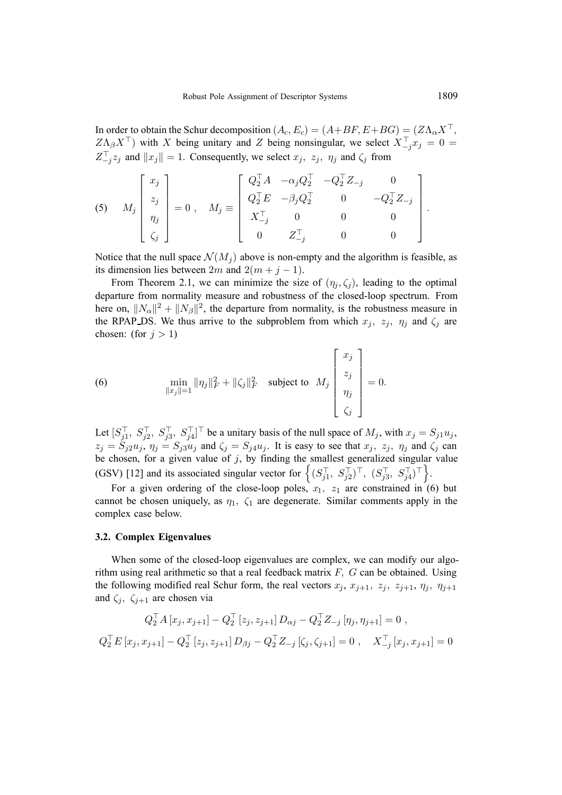In order to obtain the Schur decomposition  $(A_c, E_c) = (A + BF, E + BG) = (Z\Lambda_{\alpha}X^{\top},$  $Z\Lambda_{\beta}X^{\top}$ ) with X being unitary and Z being nonsingular, we select  $X_{-j}^{\top}x_j = 0$  =  $Z_{-j}^{\top}z_j$  and  $||x_j|| = 1$ . Consequently, we select  $x_j$ ,  $z_j$ ,  $\eta_j$  and  $\zeta_j$  from

(5) 
$$
M_j \begin{bmatrix} x_j \\ z_j \\ \eta_j \\ \zeta_j \end{bmatrix} = 0
$$
,  $M_j \equiv \begin{bmatrix} Q_2^{\top} A & -\alpha_j Q_2^{\top} & -Q_2^{\top} Z_{-j} & 0 \\ Q_2^{\top} E & -\beta_j Q_2^{\top} & 0 & -Q_2^{\top} Z_{-j} \\ X_{-j}^{\top} & 0 & 0 & 0 \\ 0 & Z_{-j}^{\top} & 0 & 0 \end{bmatrix}$ 

Notice that the null space  $\mathcal{N}(M_i)$  above is non-empty and the algorithm is feasible, as its dimension lies between 2m and  $2(m + j - 1)$ .

From Theorem 2.1, we can minimize the size of  $(\eta_i, \zeta_i)$ , leading to the optimal departure from normality measure and robustness of the closed-loop spectrum. From here on,  $||N_{\alpha}||^2 + ||N_{\beta}||^2$ , the departure from normality, is the robustness measure in the RPAP DS. We thus arrive to the subproblem from which  $x_j$ ,  $z_j$ ,  $\eta_j$  and  $\zeta_j$  are chosen: (for  $j > 1$ )

(6) 
$$
\min_{\|x_j\|=1} \|\eta_j\|_F^2 + \|\zeta_j\|_F^2 \text{ subject to } M_j\begin{bmatrix} x_j \\ z_j \\ \eta_j \\ \zeta_j \end{bmatrix} = 0.
$$

Let  $[S_{j1}^\top, S_{j2}^\top, S_{j3}^\top, S_{j4}^\top]^\top$  be a unitary basis of the null space of  $M_j$ , with  $x_j = S_{j1}u_j$ ,  $z_j = \dot{S}_{j2}u_j$ ,  $\eta_j = S_{j3}u_j$  and  $\zeta_j = S_{j4}u_j$ . It is easy to see that  $x_j$ ,  $z_j$ ,  $\eta_j$  and  $\zeta_j$  can be chosen, for a given value of  $j$ , by finding the smallest generalized singular value (GSV) [12] and its associated singular vector for  $\left\{ (S_{j1}^\top, S_{j2}^\top)^\top, (S_{j3}^\top, S_{j4}^\top)^\top \right\}$ .

For a given ordering of the close-loop poles,  $x_1$ ,  $z_1$  are constrained in (6) but cannot be chosen uniquely, as  $\eta_1$ ,  $\zeta_1$  are degenerate. Similar comments apply in the complex case below.

#### **3.2. Complex Eigenvalues**

When some of the closed-loop eigenvalues are complex, we can modify our algorithm using real arithmetic so that a real feedback matrix  $F$ ,  $G$  can be obtained. Using the following modified real Schur form, the real vectors  $x_j$ ,  $x_{j+1}$ ,  $z_j$ ,  $z_{j+1}$ ,  $\eta_j$ ,  $\eta_{j+1}$ and  $\zeta_i$ ,  $\zeta_{i+1}$  are chosen via

$$
Q_2^{\top} A [x_j, x_{j+1}] - Q_2^{\top} [z_j, z_{j+1}] D_{\alpha j} - Q_2^{\top} Z_{-j} [\eta_j, \eta_{j+1}] = 0,
$$
  

$$
Q_2^{\top} E [x_j, x_{j+1}] - Q_2^{\top} [z_j, z_{j+1}] D_{\beta j} - Q_2^{\top} Z_{-j} [\zeta_j, \zeta_{j+1}] = 0, \quad X_{-j}^{\top} [x_j, x_{j+1}] = 0
$$

.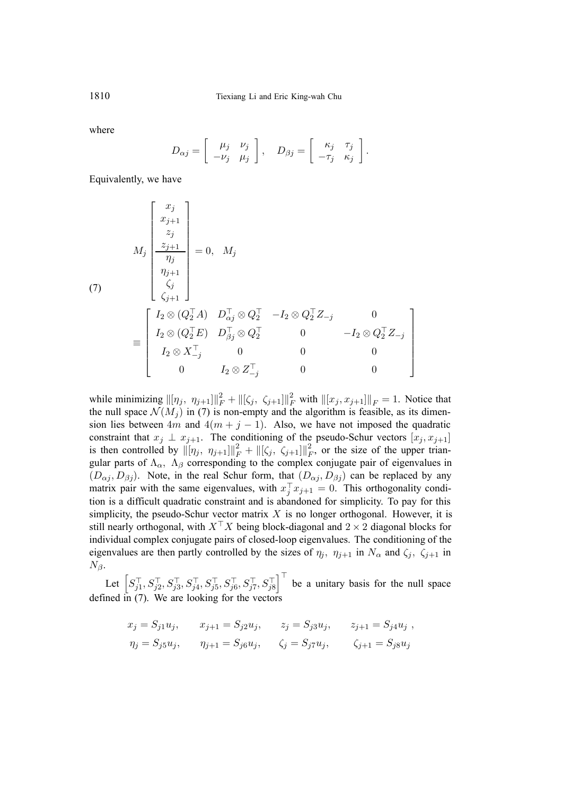where

$$
D_{\alpha j} = \begin{bmatrix} \mu_j & \nu_j \\ -\nu_j & \mu_j \end{bmatrix}, \quad D_{\beta j} = \begin{bmatrix} \kappa_j & \tau_j \\ -\tau_j & \kappa_j \end{bmatrix}.
$$

Equivalently, we have

(7)  
\n
$$
\begin{bmatrix}\nx_j \\
x_{j+1} \\
z_j \\
\hline\n\eta_j \\
\zeta_j\n\end{bmatrix} = 0, \quad M_j
$$
\n
$$
\begin{bmatrix}\nx_j \\
z_{j+1} \\
\eta_{j+1} \\
\zeta_j\n\end{bmatrix} = 0, \quad M_j
$$
\n
$$
\equiv \begin{bmatrix}\nI_2 \otimes (Q_2^\top A) & D_{\alpha j}^\top \otimes Q_2^\top & -I_2 \otimes Q_2^\top Z_{-j} & 0 \\
I_2 \otimes (Q_2^\top E) & D_{\beta j}^\top \otimes Q_2^\top & 0 & -I_2 \otimes Q_2^\top Z_{-j} \\
I_2 \otimes X_{-j}^\top & 0 & 0 & 0 \\
0 & I_2 \otimes Z_{-j}^\top & 0 & 0\n\end{bmatrix}
$$

while minimizing  $\|[\eta_j, \eta_{j+1}]\|_F^2 + \|[\zeta_j, \zeta_{j+1}]\|_F^2$  with  $\|[x_j, x_{j+1}]\|_F = 1$ . Notice that the null space  $\mathcal{N}(M_i)$  in (7) is non-empty and the algorithm is feasible, as its dimension lies between  $4m$  and  $4(m + j - 1)$ . Also, we have not imposed the quadratic constraint that  $x_j \perp x_{j+1}$ . The conditioning of the pseudo-Schur vectors  $[x_j, x_{j+1}]$ is then controlled by  $\|\eta_j, \eta_{j+1}\|_F^2 + \|[\zeta_j, \zeta_{j+1}]\|_F^2$ , or the size of the upper triangular parts of  $\Lambda_{\alpha}$ ,  $\Lambda_{\beta}$  corresponding to the complex conjugate pair of eigenvalues in  $(D_{\alpha j}, D_{\beta j})$ . Note, in the real Schur form, that  $(D_{\alpha j}, D_{\beta j})$  can be replaced by any matrix pair with the same eigenvalues, with  $x_i^T x_{i+1} = 0$ . This orthogonality condition is a difficult quadratic constraint and is abandoned for simplicity. To pay for this simplicity, the pseudo-Schur vector matrix  $X$  is no longer orthogonal. However, it is still nearly orthogonal, with  $X^{\top}X$  being block-diagonal and  $2 \times 2$  diagonal blocks for individual complex conjugate pairs of closed-loop eigenvalues. The conditioning of the eigenvalues are then partly controlled by the sizes of  $\eta_i$ ,  $\eta_{i+1}$  in  $N_\alpha$  and  $\zeta_i$ ,  $\zeta_{i+1}$  in  $N_{\beta}$ .

Let  $\left[ S_{j1}^{\top},S_{j2}^{\top},S_{j3}^{\top},S_{j4}^{\top},S_{j5}^{\top},S_{j6}^{\top},S_{j7}^{\top},S_{j8}^{\top} \right]$  $\int_{0}^{\top}$  be a unitary basis for the null space defined in (7). We are looking for the vectors

$$
x_j = S_{j1}u_j, \t x_{j+1} = S_{j2}u_j, \t z_j = S_{j3}u_j, \t z_{j+1} = S_{j4}u_j,
$$
  

$$
\eta_j = S_{j5}u_j, \t \eta_{j+1} = S_{j6}u_j, \t \zeta_j = S_{j7}u_j, \t \zeta_{j+1} = S_{j8}u_j
$$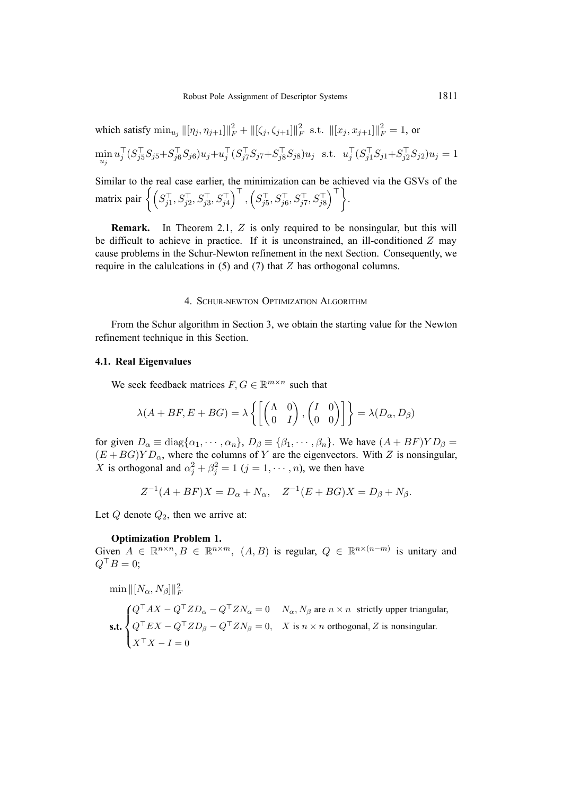which satisfy 
$$
\min_{u_j} ||[\eta_j, \eta_{j+1}]||_F^2 + ||[\zeta_j, \zeta_{j+1}]||_F^2
$$
 s.t.  $||[x_j, x_{j+1}]||_F^2 = 1$ , or  
\n
$$
\min_{u_j} u_j^\top (S_{j5}^\top S_{j5} + S_{j6}^\top S_{j6}) u_j + u_j^\top (S_{j7}^\top S_{j7} + S_{j8}^\top S_{j8}) u_j
$$
 s.t.  $u_j^\top (S_{j1}^\top S_{j1} + S_{j2}^\top S_{j2}) u_j = 1$   
\nSimilarly, to the real case earlier, the minimization can be achieved via the GSVs of the

Similar to the real case earlier, the minimization can be achieved via the GSVs of the matrix pair  $\left\{ \left( S_{j1}^{\top},S_{j2}^{\top},S_{j3}^{\top},S_{j4}^{\top} \right) \right\}$  $\big)^{\top}$  ,  $\left( S_{j5}^{\top},S_{j6}^{\top},S_{j7}^{\top},S_{j8}^{\top} \right)$  $\bigcap_{\tau}$ .

**Remark.** In Theorem 2.1, Z is only required to be nonsingular, but this will be difficult to achieve in practice. If it is unconstrained, an ill-conditioned  $Z$  may cause problems in the Schur-Newton refinement in the next Section. Consequently, we require in the calulcations in  $(5)$  and  $(7)$  that  $Z$  has orthogonal columns.

### 4. SCHUR-NEWTON OPTIMIZATION ALGORITHM

From the Schur algorithm in Section 3, we obtain the starting value for the Newton refinement technique in this Section.

# **4.1. Real Eigenvalues**

We seek feedback matrices  $F, G \in \mathbb{R}^{m \times n}$  such that

$$
\lambda(A + BF, E + BG) = \lambda \left\{ \begin{bmatrix} \begin{pmatrix} \Lambda & 0 \\ 0 & I \end{pmatrix}, \begin{pmatrix} I & 0 \\ 0 & 0 \end{pmatrix} \end{bmatrix} \right\} = \lambda(D_{\alpha}, D_{\beta})
$$

for given  $D_{\alpha} \equiv \text{diag}\{\alpha_1, \cdots, \alpha_n\}, D_{\beta} \equiv \{\beta_1, \cdots, \beta_n\}.$  We have  $(A + BF)YD_{\beta} =$  $(E + BG)YD_{\alpha}$ , where the columns of Y are the eigenvectors. With Z is nonsingular, X is orthogonal and  $\alpha_i^2 + \beta_i^2 = 1$   $(j = 1, \dots, n)$ , we then have

$$
Z^{-1}(A + BF)X = D_{\alpha} + N_{\alpha}, \quad Z^{-1}(E + BG)X = D_{\beta} + N_{\beta}.
$$

Let  $Q$  denote  $Q_2$ , then we arrive at:

### **Optimization Problem 1.**

Given  $A \in \mathbb{R}^{n \times n}$ ,  $B \in \mathbb{R}^{n \times m}$ ,  $(A, B)$  is regular,  $Q \in \mathbb{R}^{n \times (n-m)}$  is unitary and  $Q^{\top}B=0;$ 

 $\min \Vert [N_{\alpha}, N_{\beta}] \Vert_F^2$ **s.t.**  $\sqrt{ }$  $\int$  $\mathbf{I}$  $Q^{\dagger} A X - Q^{\dagger} Z D_{\alpha} - Q^{\dagger} Z N_{\alpha} = 0$   $N_{\alpha}$ ,  $N_{\beta}$  are  $n \times n$  strictly upper triangular,  $Q^{\dagger} EX - Q^{\dagger} Z D_{\beta} - Q^{\dagger} Z N_{\beta} = 0$ ,  $X$  is  $n \times n$  orthogonal,  $Z$  is nonsingular.  $X^{\perp}X-I=0$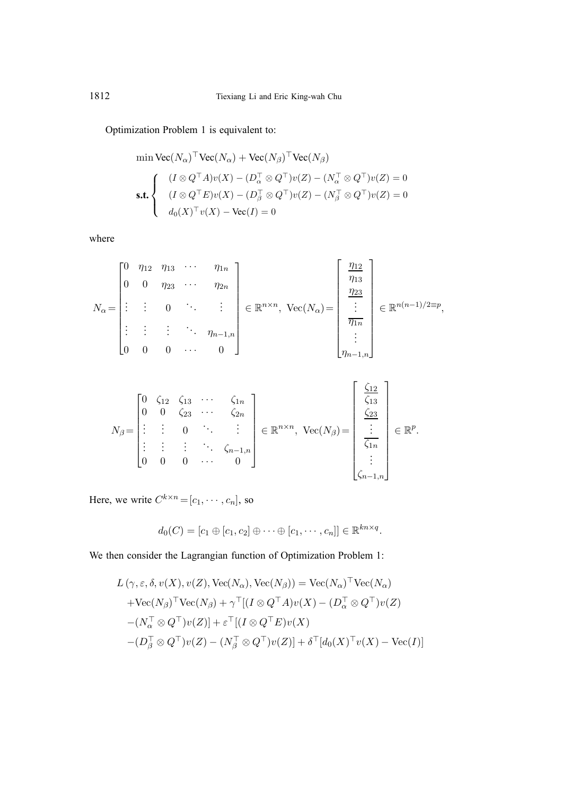Optimization Problem 1 is equivalent to:

$$
\begin{aligned}\n\min \text{Vec}(N_{\alpha})^{\top} \text{Vec}(N_{\alpha}) + \text{Vec}(N_{\beta})^{\top} \text{Vec}(N_{\beta}) \\
\text{s.t.} \n\left\{\n\begin{array}{l}\n(I \otimes Q^{\top} A)v(X) - (D_{\alpha}^{\top} \otimes Q^{\top})v(Z) - (N_{\alpha}^{\top} \otimes Q^{\top})v(Z) = 0 \\
(I \otimes Q^{\top} E)v(X) - (D_{\beta}^{\top} \otimes Q^{\top})v(Z) - (N_{\beta}^{\top} \otimes Q^{\top})v(Z) = 0 \\
d_0(X)^{\top} v(X) - \text{Vec}(I) = 0\n\end{array}\n\right\}\n\end{aligned}
$$

where

$$
N_{\alpha} = \begin{bmatrix} 0 & \eta_{12} & \eta_{13} & \cdots & \eta_{1n} \\ 0 & 0 & \eta_{23} & \cdots & \eta_{2n} \\ \vdots & \vdots & 0 & \ddots & \vdots \\ \vdots & \vdots & \vdots & \ddots & \eta_{n-1,n} \\ 0 & 0 & 0 & \cdots & 0 \end{bmatrix} \in \mathbb{R}^{n \times n}, \text{ Vec}(N_{\alpha}) = \begin{bmatrix} \frac{\eta_{12}}{\eta_{13}} \\ \frac{\eta_{23}}{\eta_{12}} \\ \vdots \\ \frac{\eta_{1n}}{\eta_{1n}} \end{bmatrix} \in \mathbb{R}^{n(n-1)/2 \equiv p},
$$

$$
N_{\beta} = \begin{bmatrix} 0 & \zeta_{12} & \zeta_{13} & \cdots & \zeta_{1n} \\ 0 & 0 & \zeta_{23} & \cdots & \zeta_{2n} \\ \vdots & \vdots & 0 & \ddots & \vdots \\ 0 & 0 & 0 & \cdots & 0 \end{bmatrix} \in \mathbb{R}^{n \times n}, \text{ Vec}(N_{\beta}) = \begin{bmatrix} \zeta_{12} \\ \zeta_{13} \\ \zeta_{23} \\ \vdots \\ \zeta_{1n} \\ \vdots \\ \zeta_{n-1,n} \end{bmatrix} \in \mathbb{R}^{p}.
$$

Here, we write  $C^{k \times n} = [c_1, \dots, c_n]$ , so

$$
d_0(C) = [c_1 \oplus [c_1, c_2] \oplus \cdots \oplus [c_1, \cdots, c_n]] \in \mathbb{R}^{kn \times q}.
$$

We then consider the Lagrangian function of Optimization Problem 1:

$$
L(\gamma, \varepsilon, \delta, v(X), v(Z), \text{Vec}(N_{\alpha}), \text{Vec}(N_{\beta})) = \text{Vec}(N_{\alpha})^{\top} \text{Vec}(N_{\alpha})
$$
  
+ 
$$
\text{Vec}(N_{\beta})^{\top} \text{Vec}(N_{\beta}) + \gamma^{\top} [(I \otimes Q^{\top} A)v(X) - (D_{\alpha}^{\top} \otimes Q^{\top})v(Z)
$$
  
-
$$
(N_{\alpha}^{\top} \otimes Q^{\top})v(Z)] + \varepsilon^{\top} [(I \otimes Q^{\top} E)v(X)
$$
  
-
$$
(D_{\beta}^{\top} \otimes Q^{\top})v(Z) - (N_{\beta}^{\top} \otimes Q^{\top})v(Z)] + \delta^{\top} [d_0(X)^{\top} v(X) - \text{Vec}(I)]
$$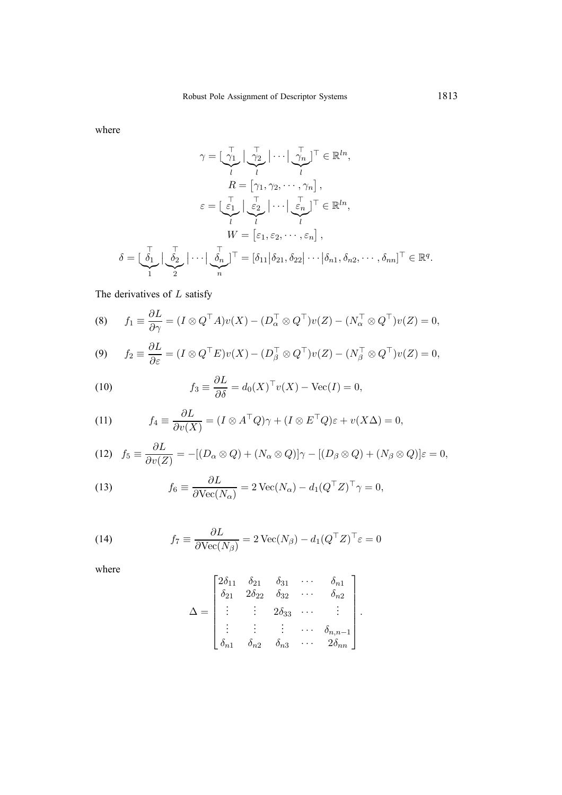where

$$
\gamma = \left[\begin{array}{c} \nabla_1 \\ \nabla_2 \\ \nabla_3 \end{array}\right] \cdots \left[\begin{array}{c} \nabla_2 \\ \nabla_n \\ \nabla_n \end{array}\right]^\top \in \mathbb{R}^{ln},
$$
\n
$$
R = \left[\gamma_1, \gamma_2, \cdots, \gamma_n\right],
$$
\n
$$
\varepsilon = \left[\begin{array}{c} \nabla_1 \\ \nabla_2 \end{array}\right] \cdots \left[\begin{array}{c} \nabla_2 \\ \nabla_n \end{array}\right]^\top \in \mathbb{R}^{ln},
$$
\n
$$
W = \left[\varepsilon_1, \varepsilon_2, \cdots, \varepsilon_n\right],
$$
\n
$$
\delta = \left[\begin{array}{c} \nabla_1 \\ \nabla_2 \end{array}\right] \cdots \left[\begin{array}{c} \nabla_1 \\ \nabla_n \end{array}\right]^\top = \left[\delta_{11} \middle| \delta_{21}, \delta_{22} \middle| \cdots \middle| \delta_{n1}, \delta_{n2}, \cdots, \delta_{nn} \right]^\top \in \mathbb{R}^q.
$$

The derivatives of  $L$  satisfy

(8) 
$$
f_1 \equiv \frac{\partial L}{\partial \gamma} = (I \otimes Q^\top A)v(X) - (D_\alpha^\top \otimes Q^\top)v(Z) - (N_\alpha^\top \otimes Q^\top)v(Z) = 0,
$$

(9) 
$$
f_2 \equiv \frac{\partial L}{\partial \varepsilon} = (I \otimes Q^\top E)v(X) - (D_\beta^\top \otimes Q^\top)v(Z) - (N_\beta^\top \otimes Q^\top)v(Z) = 0,
$$

(10) 
$$
f_3 \equiv \frac{\partial L}{\partial \delta} = d_0(X)^\top v(X) - \text{Vec}(I) = 0,
$$

(11) 
$$
f_4 \equiv \frac{\partial L}{\partial v(X)} = (I \otimes A^\top Q)\gamma + (I \otimes E^\top Q)\varepsilon + v(X\Delta) = 0,
$$

(12) 
$$
f_5 \equiv \frac{\partial L}{\partial v(Z)} = -[(D_\alpha \otimes Q) + (N_\alpha \otimes Q)]\gamma - [(D_\beta \otimes Q) + (N_\beta \otimes Q)]\varepsilon = 0,
$$

(13) 
$$
f_6 \equiv \frac{\partial L}{\partial \text{Vec}(N_\alpha)} = 2 \text{Vec}(N_\alpha) - d_1(Q^\top Z)^\top \gamma = 0,
$$

(14) 
$$
f_7 \equiv \frac{\partial L}{\partial \text{Vec}(N_\beta)} = 2 \text{Vec}(N_\beta) - d_1 (Q^\top Z)^\top \varepsilon = 0
$$

where

$$
\Delta = \begin{bmatrix} 2\delta_{11} & \delta_{21} & \delta_{31} & \cdots & \delta_{n1} \\ \delta_{21} & 2\delta_{22} & \delta_{32} & \cdots & \delta_{n2} \\ \vdots & \vdots & 2\delta_{33} & \cdots & \vdots \\ \vdots & \vdots & \vdots & \cdots & \delta_{n,n-1} \\ \delta_{n1} & \delta_{n2} & \delta_{n3} & \cdots & 2\delta_{nn} \end{bmatrix}.
$$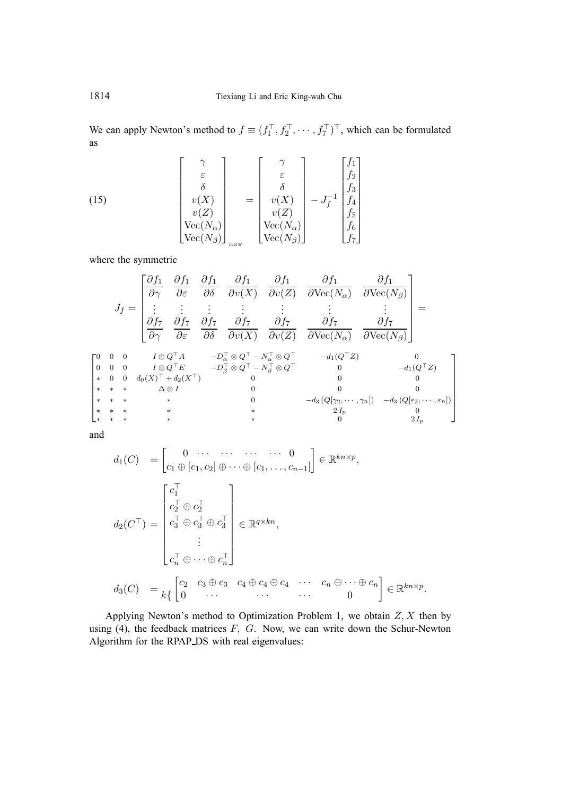We can apply Newton's method to  $f \equiv (f_1^\top, f_2^\top, \cdots, f_7^\top)^\top$ , which can be formulated as

(15) 
$$
\begin{bmatrix} \gamma \\ \varepsilon \\ \delta \\ v(X) \\ v(Z) \\ \text{Vec}(N_{\alpha}) \\ \text{Vec}(N_{\beta}) \end{bmatrix}_{\text{new}} = \begin{bmatrix} \gamma \\ \varepsilon \\ \delta \\ v(X) \\ v(Z) \\ v(Z) \\ \text{Vec}(N_{\alpha}) \\ \text{Vec}(N_{\beta}) \end{bmatrix} - J_f^{-1} \begin{bmatrix} f_1 \\ f_2 \\ f_3 \\ f_4 \\ f_5 \\ f_6 \\ f_7 \end{bmatrix}
$$

where the symmetric

Jf = ∂f<sup>1</sup> ∂γ ∂f<sup>1</sup> ∂ε ∂f<sup>1</sup> ∂δ ∂f<sup>1</sup> ∂v(X) ∂f<sup>1</sup> ∂v(Z) ∂f<sup>1</sup> ∂Vec(Nα) ∂f<sup>1</sup> <sup>∂</sup>Vec(Nβ) . . . . . . . . . . . . . . . . . . . . . ∂f<sup>7</sup> ∂γ ∂f<sup>7</sup> ∂ε ∂f<sup>7</sup> ∂δ ∂f<sup>7</sup> ∂v(X) ∂f<sup>7</sup> ∂v(Z) ∂f<sup>7</sup> ∂Vec(Nα) ∂f<sup>7</sup> ∂Vec(Nβ) = 000 I ⊗ QA −D <sup>α</sup> <sup>⊗</sup> <sup>Q</sup> <sup>−</sup> <sup>N</sup> <sup>α</sup> <sup>⊗</sup> <sup>Q</sup> <sup>−</sup>d1(QZ) 0 000 I ⊗ QE −D <sup>β</sup> <sup>⊗</sup> <sup>Q</sup> <sup>−</sup> <sup>N</sup> <sup>β</sup> <sup>⊗</sup> <sup>Q</sup> <sup>0</sup> <sup>−</sup>d1(QZ) ∗ 0 0 d0(X) + d2(X)0 0 0 ∗∗∗ ∆ ⊗ I 0 00 ∗∗∗ ∗ 0 −d<sup>3</sup> (Q[γ2, ··· , γn]) −d<sup>3</sup> (Q[ε2, ··· , εn]) ∗∗∗ ∗ ∗ 2 I<sup>p</sup> 0 ∗∗∗ ∗ ∗ 0 2 I<sup>p</sup> 

and

$$
d_1(C) = \begin{bmatrix} 0 & \cdots & \cdots & \cdots & 0 \\ c_1 \oplus [c_1, c_2] \oplus \cdots \oplus [c_1, \ldots, c_{n-1}] \end{bmatrix} \in \mathbb{R}^{kn \times p},
$$
  
\n
$$
d_2(C^{\top}) = \begin{bmatrix} c_1^{\top} \\ c_2^{\top} \oplus c_2^{\top} \\ c_3^{\top} \oplus c_3^{\top} \oplus c_3^{\top} \\ \vdots \\ c_n^{\top} \oplus \cdots \oplus c_n^{\top} \end{bmatrix} \in \mathbb{R}^{q \times kn},
$$
  
\n
$$
d_3(C) = \begin{bmatrix} c_2 & c_3 \oplus c_3 & c_4 \oplus c_4 \oplus c_4 & \cdots & c_n \oplus \cdots \oplus c_n \\ 0 & \cdots & \cdots & \cdots & 0 \end{bmatrix} \in \mathbb{R}^{kn \times p}.
$$

Applying Newton's method to Optimization Problem 1, we obtain  $Z, X$  then by using (4), the feedback matrices  $F$ ,  $G$ . Now, we can write down the Schur-Newton Algorithm for the RPAP\_DS with real eigenvalues: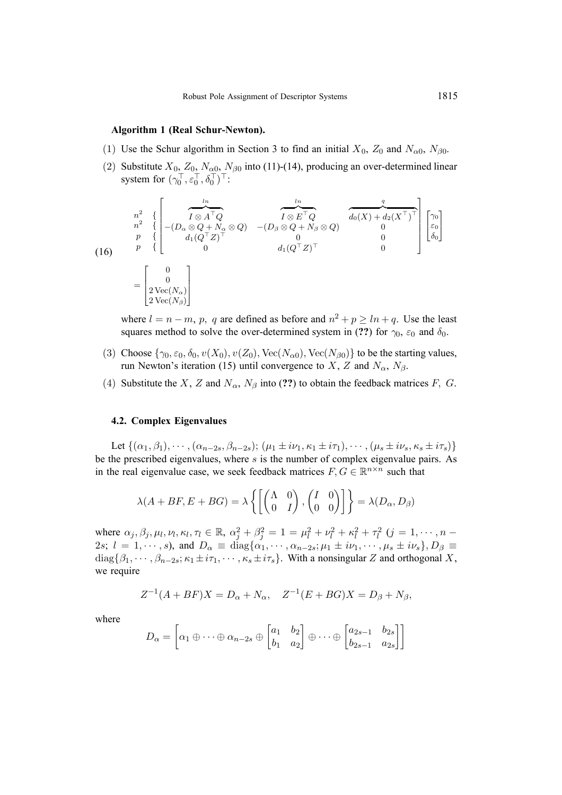# **Algorithm 1 (Real Schur-Newton).**

- (1) Use the Schur algorithm in Section 3 to find an initial  $X_0$ ,  $Z_0$  and  $N_{\alpha 0}$ ,  $N_{\beta 0}$ .
- (2) Substitute  $X_0$ ,  $Z_0$ ,  $N_{\alpha 0}$ ,  $N_{\beta 0}$  into (11)-(14), producing an over-determined linear system for  $(\gamma_0^{\top}, \varepsilon_0^{\top}, \delta_0^{\top})^{\top}$ :

$$
\begin{aligned}\n\frac{n^2}{n^2} &\left\{ \begin{bmatrix}\n\frac{\ln}{I \otimes A^\top Q} & \frac{\ln}{I \otimes E^\top Q} \\
-(D_\alpha \otimes Q + N_\alpha \otimes Q) & -(D_\beta \otimes Q + N_\beta \otimes Q) & 0 \\
\frac{p}{p} &\left\{ \begin{bmatrix} \cos(\pi/2) \\ d_1(Q^\top Z)^\top & 0 & 0 \\
0 & d_1(Q^\top Z)^\top & 0 \\
0 & d_1(Q^\top Z)^\top & 0\n\end{bmatrix} \begin{bmatrix} \gamma_0 \\ \varepsilon_0 \\ \delta_0 \end{bmatrix} \right\} \\
&= \begin{bmatrix}\n0 \\
2 \operatorname{Vec}(N_\alpha) \\
2 \operatorname{Vec}(N_\beta)\n\end{bmatrix}\n\end{aligned}
$$

where  $l = n - m$ , p, q are defined as before and  $n^2 + p > ln + q$ . Use the least squares method to solve the over-determined system in (??) for  $\gamma_0$ ,  $\varepsilon_0$  and  $\delta_0$ .

- (3) Choose  $\{\gamma_0, \varepsilon_0, \delta_0, v(X_0), v(Z_0), \text{Vec}(N_{\alpha 0}), \text{Vec}(N_{\beta 0})\}$  to be the starting values, run Newton's iteration (15) until convergence to X, Z and  $N_{\alpha}$ ,  $N_{\beta}$ .
- (4) Substitute the X, Z and  $N_{\alpha}$ ,  $N_{\beta}$  into (??) to obtain the feedback matrices F, G.

# **4.2. Complex Eigenvalues**

Let  $\{(\alpha_1, \beta_1), \cdots, (\alpha_{n-2s}, \beta_{n-2s}); (\mu_1 \pm i\nu_1, \kappa_1 \pm i\tau_1), \cdots, (\mu_s \pm i\nu_s, \kappa_s \pm i\tau_s)\}\$ be the prescribed eigenvalues, where  $s$  is the number of complex eigenvalue pairs. As in the real eigenvalue case, we seek feedback matrices  $F, G \in \mathbb{R}^{n \times n}$  such that

$$
\lambda(A + BF, E + BG) = \lambda \left\{ \begin{bmatrix} \begin{pmatrix} \Lambda & 0 \\ 0 & I \end{pmatrix}, \begin{pmatrix} I & 0 \\ 0 & 0 \end{pmatrix} \end{bmatrix} \right\} = \lambda(D_{\alpha}, D_{\beta})
$$

where  $\alpha_j, \beta_j, \mu_l, \nu_l, \kappa_l, \tau_l \in \mathbb{R}, \alpha_j^2 + \beta_j^2 = 1 = \mu_l^2 + \nu_l^2 + \kappa_l^2 + \tau_l^2$   $(j = 1, \dots, n - 1)$ 2s;  $l = 1, \dots, s$ ), and  $D_{\alpha} \equiv \text{diag}\{\alpha_1, \dots, \alpha_{n-2s}; \mu_1 \pm i\nu_1, \dots, \mu_s \pm i\nu_s\}$ ,  $D_{\beta} \equiv$  $diag\{\beta_1,\cdots,\beta_{n-2s};\kappa_1\pm i\tau_1,\cdots,\kappa_s\pm i\tau_s\}$ . With a nonsingular Z and orthogonal X, we require

$$
Z^{-1}(A + BF)X = D_{\alpha} + N_{\alpha}, \quad Z^{-1}(E + BG)X = D_{\beta} + N_{\beta},
$$

where

$$
D_{\alpha} = \begin{bmatrix} \alpha_1 \oplus \cdots \oplus \alpha_{n-2s} \oplus \begin{bmatrix} a_1 & b_2 \\ b_1 & a_2 \end{bmatrix} \oplus \cdots \oplus \begin{bmatrix} a_{2s-1} & b_{2s} \\ b_{2s-1} & a_{2s} \end{bmatrix} \end{bmatrix}
$$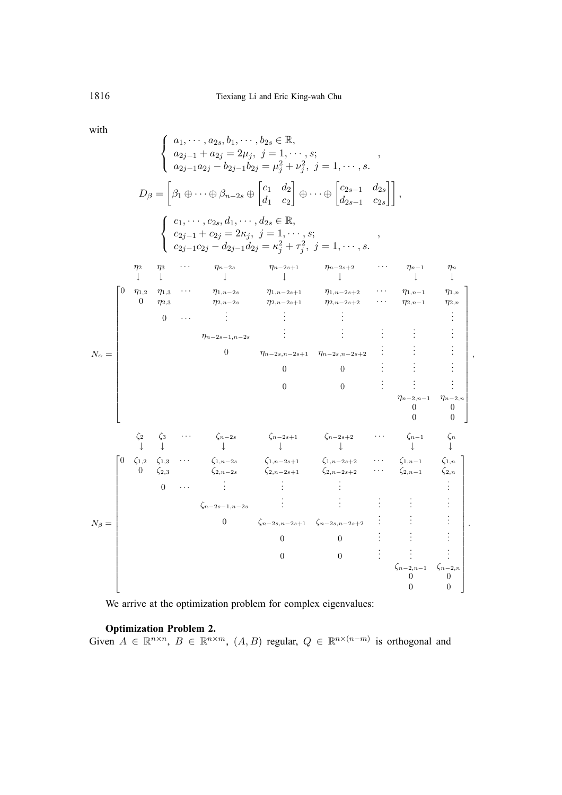with

$$
\begin{bmatrix}\na_1, \dots, a_{2s}, b_1, \dots, b_{2s} \in \mathbb{R}, \\
a_{2j-1} + a_{2j} = 2\mu_j, \ j = 1, \dots, s; \\
a_{2j-1}a_{2j} - b_{2j-1}b_{2j} = \mu_j^2 + \nu_j^2, \ j = 1, \dots, s.\n\end{bmatrix}
$$
\n
$$
D_{\beta} = \begin{bmatrix}\n\beta_1 \oplus \dots \oplus \beta_{n-2s} \oplus \begin{bmatrix}c_1 & d_2 \\ d_1 & c_2\end{bmatrix} \oplus \dots \oplus \begin{bmatrix}c_{2s-1} & d_2s \\ d_2s-1 & c_2s\end{bmatrix}, \\
\begin{bmatrix}\nc_1, \dots, c_{2s}, d_1, \dots, d_{2s} \in \mathbb{R}, \\
c_{2j-1} + c_{2j} = 2\kappa_j, \ j = 1, \dots, s; \\
c_{2j-1}c_{2j} - d_{2j-1}d_{2j} = \kappa_j^2 + \tau_j^2, \ j = 1, \dots, s.\n\end{bmatrix}
$$
\n
$$
\begin{bmatrix}\n0 & \eta_1, \eta_2, \dots, \eta_{n-2s} & \eta_{n-2s+1} & \eta_{n-2s+2} & \dots & \eta_{n-1} & \eta_n \\
0 & \eta_{2s} & \dots & \eta_{n-2s} & \eta_{2,n-2s+1} & \eta_{2,n-2s+2} & \dots & \eta_{2,n-1} & \eta_{2,n} \\
0 & \eta_{2s} & \eta_{2,n-2s} & \eta_{2,n-2s+1} & \eta_{2,n-2s+2} & \dots & \eta_{2,n-1} & \eta_{2,n} \\
0 & \dots & \vdots & \vdots & \vdots & \vdots & \vdots \\
\eta_{n-2s-1,n-2s} & \vdots & \vdots & \vdots & \vdots \\
0 & 0 & 0 & \vdots & \vdots \\
0 & 0 & 0 & \vdots & \vdots \\
0 & 0 & 0 & \vdots & \vdots \\
0 & 0 & 0 & \vdots & \vdots \\
0 & \zeta_1, \zeta_2, \zeta_1, \zeta_3, \dots, \zeta_n, \zeta_n, \zeta_n, \zeta_n, \zeta_n, \zeta_n, \zeta_n, \
$$

We arrive at the optimization problem for complex eigenvalues:

### **Optimization Problem 2.**

Given  $A \in \mathbb{R}^{n \times n}$ ,  $B \in \mathbb{R}^{n \times m}$ ,  $(A, B)$  regular,  $Q \in \mathbb{R}^{n \times (n-m)}$  is orthogonal and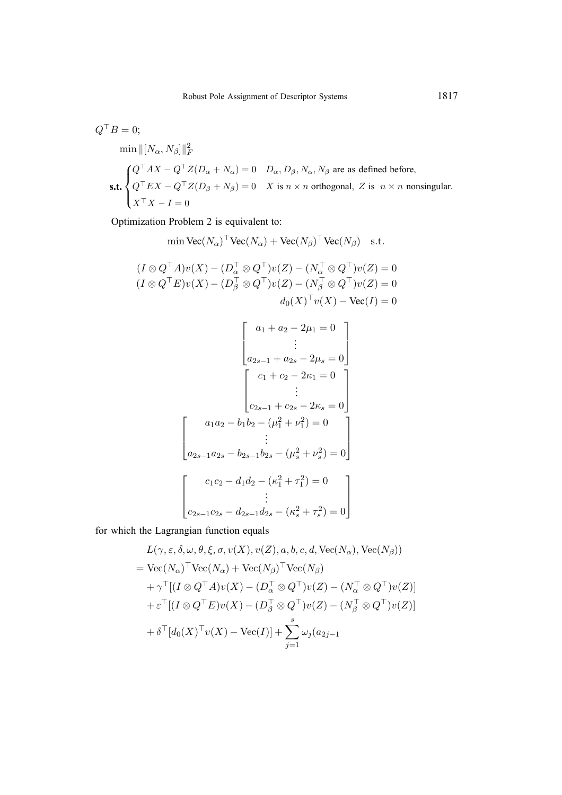$$
Q^{\top}B = 0;
$$
  
min  $||(N_{\alpha}, N_{\beta})||_F^2$   
  
**s.t.** 
$$
\begin{cases} Q^{\top}AX - Q^{\top}Z(D_{\alpha} + N_{\alpha}) = 0 & D_{\alpha}, D_{\beta}, N_{\alpha}, N_{\beta} \text{ are as defined before,} \\ Q^{\top}EX - Q^{\top}Z(D_{\beta} + N_{\beta}) = 0 & X \text{ is } n \times n \text{ orthogonal, } Z \text{ is } n \times n \text{ nonsingular.} \\ X^{\top}X - I = 0 \end{cases}
$$

Optimization Problem 2 is equivalent to:

$$
\min \text{Vec}(N_{\alpha})^{\top} \text{Vec}(N_{\alpha}) + \text{Vec}(N_{\beta})^{\top} \text{Vec}(N_{\beta}) \quad \text{s.t.}
$$
\n
$$
(I \otimes Q^{\top} A)v(X) - (D_{\alpha}^{\top} \otimes Q^{\top})v(Z) - (N_{\alpha}^{\top} \otimes Q^{\top})v(Z) = 0
$$
\n
$$
(I \otimes Q^{\top} E)v(X) - (D_{\beta}^{\top} \otimes Q^{\top})v(Z) - (N_{\beta}^{\top} \otimes Q^{\top})v(Z) = 0
$$
\n
$$
d_0(X)^{\top} v(X) - \text{Vec}(I) = 0
$$

$$
\begin{bmatrix}\na_1 + a_2 - 2\mu_1 = 0 \\
\vdots \\
a_{2s-1} + a_{2s} - 2\mu_s = 0\n\end{bmatrix}
$$
\n
$$
\begin{bmatrix}\nc_1 + c_2 - 2\kappa_1 = 0 \\
\vdots \\
c_{2s-1} + c_{2s} - 2\kappa_s = 0\n\end{bmatrix}
$$
\n
$$
\begin{bmatrix}\na_1a_2 - b_1b_2 - (\mu_1^2 + \nu_1^2) = 0 \\
\vdots \\
a_{2s-1}a_{2s} - b_{2s-1}b_{2s} - (\mu_s^2 + \nu_s^2) = 0\n\end{bmatrix}
$$
\n
$$
c_1c_2 - d_1d_2 - (\kappa_1^2 + \tau_1^2) = 0
$$
\n
$$
\vdots
$$
\n
$$
c_{2s-1}c_{2s} - d_{2s-1}d_{2s} - (\kappa_s^2 + \tau_s^2) = 0
$$

for which the Lagrangian function equals

$$
L(\gamma, \varepsilon, \delta, \omega, \theta, \xi, \sigma, v(X), v(Z), a, b, c, d, \text{Vec}(N_{\alpha}), \text{Vec}(N_{\beta}))
$$
  
=  $\text{Vec}(N_{\alpha})^{\top} \text{Vec}(N_{\alpha}) + \text{Vec}(N_{\beta})^{\top} \text{Vec}(N_{\beta})$   
+  $\gamma^{\top} [(I \otimes Q^{\top} A)v(X) - (D_{\alpha}^{\top} \otimes Q^{\top})v(Z) - (N_{\alpha}^{\top} \otimes Q^{\top})v(Z)]$   
+  $\varepsilon^{\top} [(I \otimes Q^{\top} E)v(X) - (D_{\beta}^{\top} \otimes Q^{\top})v(Z) - (N_{\beta}^{\top} \otimes Q^{\top})v(Z)]$   
+  $\delta^{\top} [d_0(X)^{\top} v(X) - \text{Vec}(I)] + \sum_{j=1}^{s} \omega_j (a_{2j-1}$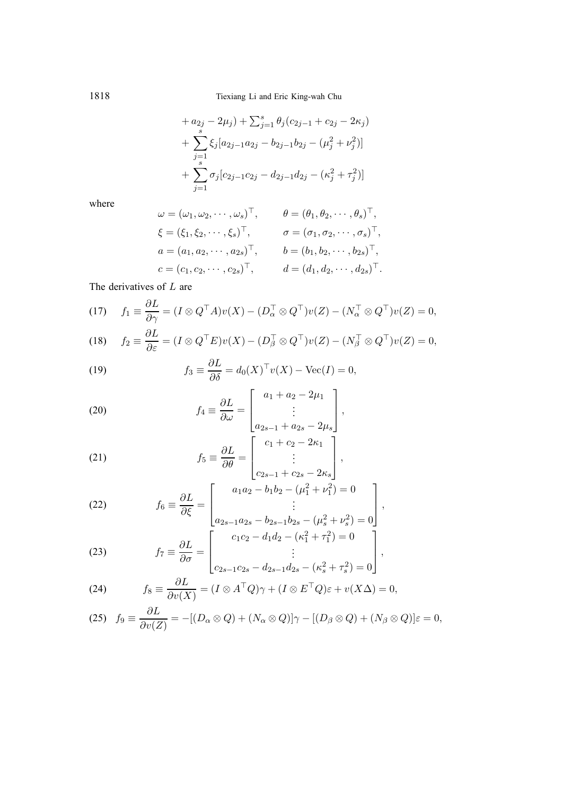1818 Tiexiang Li and Eric King-wah Chu

$$
+ a_{2j} - 2\mu_j) + \sum_{j=1}^s \theta_j (c_{2j-1} + c_{2j} - 2\kappa_j)
$$
  
+ 
$$
\sum_{j=1}^s \xi_j [a_{2j-1}a_{2j} - b_{2j-1}b_{2j} - (\mu_j^2 + \nu_j^2)]
$$
  
+ 
$$
\sum_{j=1}^s \sigma_j [c_{2j-1}c_{2j} - d_{2j-1}d_{2j} - (\kappa_j^2 + \tau_j^2)]
$$

where

$$
\omega = (\omega_1, \omega_2, \cdots, \omega_s)^{\top}, \qquad \theta = (\theta_1, \theta_2, \cdots, \theta_s)^{\top}, \n\xi = (\xi_1, \xi_2, \cdots, \xi_s)^{\top}, \qquad \sigma = (\sigma_1, \sigma_2, \cdots, \sigma_s)^{\top}, \na = (a_1, a_2, \cdots, a_{2s})^{\top}, \qquad b = (b_1, b_2, \cdots, b_{2s})^{\top}, \nc = (c_1, c_2, \cdots, c_{2s})^{\top}, \qquad d = (d_1, d_2, \cdots, d_{2s})^{\top}.
$$

The derivatives of  $L$  are

(17) 
$$
f_1 \equiv \frac{\partial L}{\partial \gamma} = (I \otimes Q^\top A)v(X) - (D_\alpha^\top \otimes Q^\top)v(Z) - (N_\alpha^\top \otimes Q^\top)v(Z) = 0,
$$

(18) 
$$
f_2 \equiv \frac{\partial L}{\partial \varepsilon} = (I \otimes Q^\top E)v(X) - (D_\beta^\top \otimes Q^\top)v(Z) - (N_\beta^\top \otimes Q^\top)v(Z) = 0,
$$

(19) 
$$
f_3 \equiv \frac{\partial L}{\partial \delta} = d_0(X)^\top v(X) - \text{Vec}(I) = 0,
$$

(20) 
$$
f_4 = \frac{\partial L}{\partial \omega} = \begin{bmatrix} a_1 + a_2 - 2\mu_1 \\ \vdots \\ a_{2s-1} + a_{2s} - 2\mu_s \end{bmatrix},
$$

(21) 
$$
f_5 \equiv \frac{\partial L}{\partial \theta} = \begin{bmatrix} c_1 + c_2 - 2\kappa_1 \\ \vdots \\ c_{2s-1} + c_{2s} - 2\kappa_s \end{bmatrix},
$$

(22) 
$$
f_6 \equiv \frac{\partial L}{\partial \xi} = \begin{bmatrix} a_1 a_2 - b_1 b_2 - (\mu_1^2 + \nu_1^2) = 0 \\ \vdots \\ a_{2s-1} a_{2s} - b_{2s-1} b_{2s} - (\mu_s^2 + \nu_s^2) = 0 \end{bmatrix},
$$

(23) 
$$
f_7 \equiv \frac{\partial L}{\partial \sigma} = \begin{bmatrix} c_1c_2 - d_1d_2 - (\kappa_1^2 + \tau_1^2) = 0 \\ \vdots \\ c_{2s-1}c_{2s} - d_{2s-1}d_{2s} - (\kappa_s^2 + \tau_s^2) = 0 \end{bmatrix},
$$

(24) 
$$
f_8 \equiv \frac{\partial L}{\partial v(X)} = (I \otimes A^\top Q)\gamma + (I \otimes E^\top Q)\varepsilon + v(X\Delta) = 0,
$$

(25) 
$$
f_9 \equiv \frac{\partial L}{\partial v(Z)} = -[(D_\alpha \otimes Q) + (N_\alpha \otimes Q)]\gamma - [(D_\beta \otimes Q) + (N_\beta \otimes Q)]\varepsilon = 0,
$$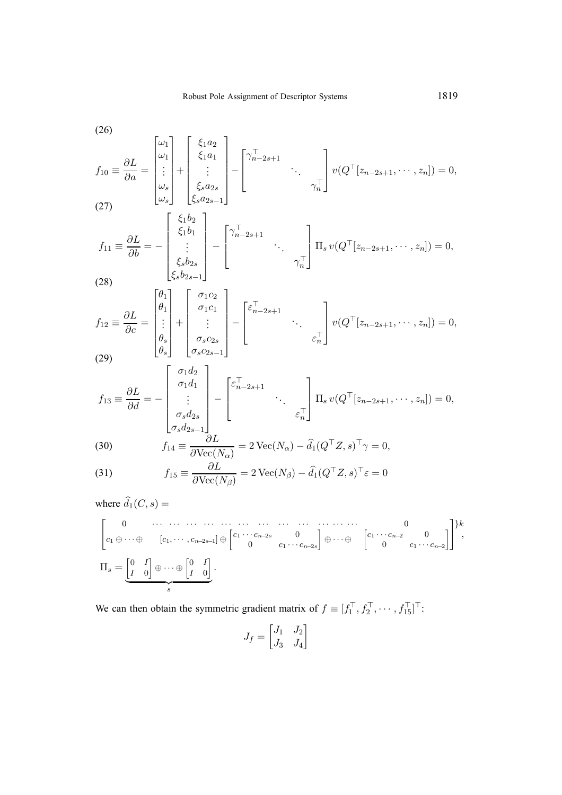$$
f_{10} = \frac{\partial L}{\partial a} = \begin{bmatrix} \omega_1 \\ \omega_1 \\ \vdots \\ \omega_s \end{bmatrix} + \begin{bmatrix} \xi_1 a_2 \\ \xi_1 a_1 \\ \vdots \\ \xi_s a_{2s-1} \end{bmatrix} - \begin{bmatrix} \gamma_{n-2s+1}^{\top} & & \\ & \ddots & \\ & & \gamma_n^{\top} \end{bmatrix} v(Q^{\top}[z_{n-2s+1}, \dots, z_n]) = 0,
$$
\n
$$
f_{11} = \frac{\partial L}{\partial b} = - \begin{bmatrix} \xi_1 b_2 \\ \xi_1 b_1 \\ \vdots \\ \xi_s b_{2s-1} \end{bmatrix} - \begin{bmatrix} \gamma_{n-2s+1}^{\top} & & \\ & \ddots & \\ & & \gamma_n^{\top} \end{bmatrix} \Pi_s v(Q^{\top}[z_{n-2s+1}, \dots, z_n]) = 0,
$$
\n
$$
f_{12} = \frac{\partial L}{\partial c} = \begin{bmatrix} \theta_1 \\ \vdots \\ \theta_s \\ \theta_s \end{bmatrix} + \begin{bmatrix} \sigma_1 c_2 \\ \vdots \\ \sigma_s c_{2s} \\ \sigma_s c_{2s-1} \end{bmatrix} - \begin{bmatrix} \varepsilon_{n-2s+1}^{\top} & & \\ & \ddots & \\ & & \varepsilon_n^{\top} \end{bmatrix} v(Q^{\top}[z_{n-2s+1}, \dots, z_n]) = 0,
$$
\n
$$
f_{13} = \frac{\partial L}{\partial d} = - \begin{bmatrix} \sigma_1 d_2 \\ \vdots \\ \sigma_s d_{2s} \\ \vdots \\ \sigma_s d_{2s-1} \end{bmatrix} - \begin{bmatrix} \varepsilon_{n-2s+1}^{\top} & & \\ & \ddots & \\ \sigma_s d_{2s-1} \\ \vdots & & \varepsilon_n^{\top} \end{bmatrix} \Pi_s v(Q^{\top}[z_{n-2s+1}, \dots, z_n]) = 0,
$$
\n
$$
f_{13} = \frac{\partial L}{\partial d} = - \begin{bmatrix} \sigma_1 d_2 \\ \vdots \\ \sigma_s d_{2s-1} \\ \vdots \\ \sigma_s d_{2s-1} \end{bmatrix} - \begin{bmatrix} \varepsilon_{n-2s+1}^{\top} & & \\ & \ddots & \\ \varepsilon_{n-2s+1}^
$$

(30) 
$$
f_{14} \equiv \frac{\partial L}{\partial \text{Vec}(N_{\alpha})} = 2 \text{ Vec}(N_{\alpha}) - \hat{d}_1(Q^{\top}Z, s)^{\top} \gamma = 0,
$$

(31) 
$$
f_{15} \equiv \frac{\partial L}{\partial \text{Vec}(N_{\beta})} = 2 \text{Vec}(N_{\beta}) - \widehat{d}_1 (Q^{\top} Z, s)^{\top} \varepsilon = 0
$$

where  $d_1(C, s) =$ 

" 0 ··· ··· ··· ··· ··· ··· ··· ··· ··· ··· ··· ··· 0 c<sup>1</sup> ⊕···⊕ [c1, ··· , c<sup>n</sup>−2s−<sup>1</sup>] ⊕ c<sup>1</sup> ··· c<sup>n</sup>−2<sup>s</sup> 0 0 c<sup>1</sup> ··· c<sup>n</sup>−2<sup>s</sup> ⊕···⊕ c<sup>1</sup> ··· c<sup>n</sup>−<sup>2</sup> 0 0 c<sup>1</sup> ··· c<sup>n</sup>−<sup>2</sup> # }k , Πs = -0 I I 0 ⊕···⊕ -0 I I 0 s .

We can then obtain the symmetric gradient matrix of  $f \equiv [f_1^\top, f_2^\top, \cdots, f_{15}^\top]^\top$ :

$$
J_f = \begin{bmatrix} J_1 & J_2 \\ J_3 & J_4 \end{bmatrix}
$$

 $(26)$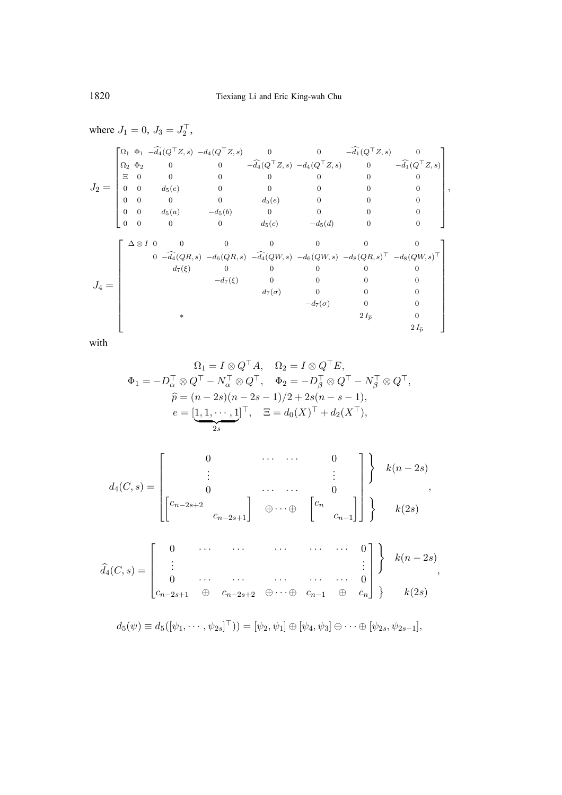where 
$$
J_1 = 0
$$
,  $J_3 = J_2^{\top}$ ,  
\n
$$
J_2 = \begin{bmatrix}\n\Omega_1 & \Phi_1 & -\widehat{d}_4(Q^{\top}Z, s) & -d_4(Q^{\top}Z, s) & 0 & 0 & -\widehat{d}_1(Q^{\top}Z, s) & 0 \\
\Omega_2 & \Phi_2 & 0 & 0 & -\widehat{d}_4(Q^{\top}Z, s) & -d_4(Q^{\top}Z, s) & 0 & -\widehat{d}_1(Q^{\top}Z, s) \\
\hline\n0 & 0 & 0 & 0 & 0 & 0 & 0 & 0 \\
0 & 0 & d_5(e) & 0 & 0 & 0 & 0 & 0 \\
0 & 0 & 0 & 0 & d_5(e) & 0 & 0 & 0 & 0 \\
0 & 0 & 0 & 0 & d_5(e) & 0 & 0 & 0 & 0 \\
0 & 0 & 0 & 0 & d_5(e) & -d_5(d) & 0 & 0 & 0\n\end{bmatrix},
$$
\n
$$
J_4 = \begin{bmatrix}\n\Delta \otimes I & 0 & 0 & 0 & 0 & 0 & 0 & 0 \\
\Delta \otimes I & 0 & 0 & 0 & 0 & 0 & 0 & 0 \\
0 & -\widehat{d}_4(QR, s) & -d_6(QR, s) & -\widehat{d}_4(QW, s) & -d_6(QW, s) & -d_8(QR, s)^{\top} & -d_8(QW, s)^{\top} \\
d_7(\xi) & 0 & 0 & 0 & 0 & 0 & 0 \\
d_7(\sigma) & 0 & 0 & 0 & 0 & 0 & 0 \\
d_7(\sigma) & 0 & 0 & 0 & 0 & 0 & 0 \\
d_7(\sigma) & 0 & 0 & 0 & 0 & 0 & 0 \\
d_7(\sigma) & 0 & 0 & 0 & 0 & 0 & 0 \\
d_7(\sigma) & 0 & 0 & 0 & 0 & 0 & 0 \\
d_7(\sigma) & 0 & 0 & 0 & 0 & 0 & 0 \\
d_7(\sigma) & 0 & 0 & 0 & 0 & 0 & 0 \\
d_7(\sigma) & 0 & 0 & 0 & 0 & 0 & 0 \\
d_7(\sigma) & 0 & 0 & 0 & 0 & 0 & 0 \\
d_7(\sigma) & 0 & 0 & 0 & 0 & 0 & 0 \\
d
$$

with

$$
\Omega_1 = I \otimes Q^\top A, \quad \Omega_2 = I \otimes Q^\top E,
$$
  
\n
$$
\Phi_1 = -D_\alpha^\top \otimes Q^\top - N_\alpha^\top \otimes Q^\top, \quad \Phi_2 = -D_\beta^\top \otimes Q^\top - N_\beta^\top \otimes Q^\top,
$$
  
\n
$$
\widehat{p} = (n-2s)(n-2s-1)/2 + 2s(n-s-1),
$$
  
\n
$$
e = \underbrace{[1,1,\cdots,1]}_{2s}^\top, \quad \Xi = d_0(X)^\top + d_2(X^\top),
$$

$$
d_4(C, s) = \begin{bmatrix} 0 & \cdots & \cdots & 0 \\ \vdots & & & \vdots \\ 0 & \cdots & \cdots & 0 \\ \begin{bmatrix} c_{n-2s+2} & & & \\ & c_{n-2s+1} \end{bmatrix} & \oplus \cdots \oplus & \begin{bmatrix} c_n & & \\ & c_{n-1} \end{bmatrix} \end{bmatrix} \end{bmatrix} k(n-2s)
$$
\n
$$
\hat{d}_4(C, s) = \begin{bmatrix} 0 & \cdots & \cdots & \cdots & \cdots & 0 \\ \vdots & & & \vdots & \vdots \\ 0 & \cdots & \cdots & \cdots & \cdots & 0 \\ c_{n-2s+1} & \oplus & c_{n-2s+2} & \oplus \cdots \oplus & c_{n-1} & \oplus & c_n \end{bmatrix} k(n-2s)
$$
\n
$$
k(2s)
$$

$$
d_5(\psi) \equiv d_5([\psi_1, \cdots, \psi_{2s}]^{\top})) = [\psi_2, \psi_1] \oplus [\psi_4, \psi_3] \oplus \cdots \oplus [\psi_{2s}, \psi_{2s-1}],
$$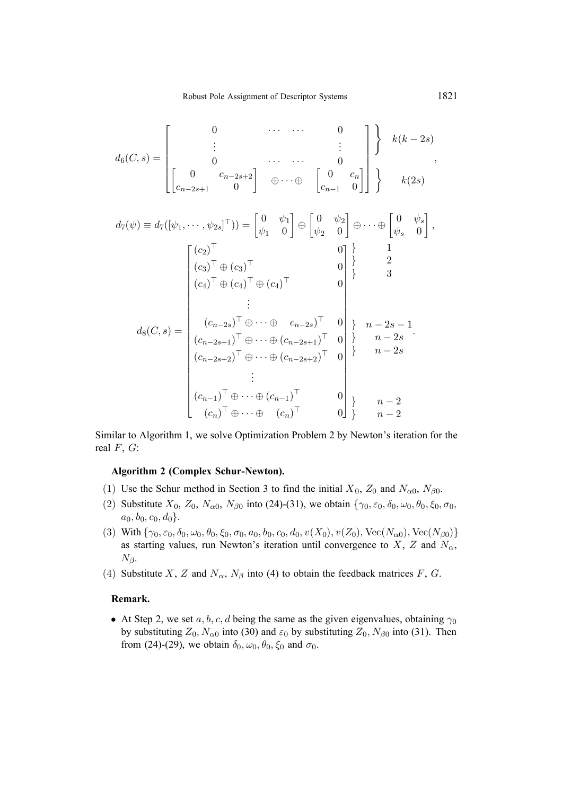$$
d_6(C,s) = \begin{bmatrix} 0 & \cdots & \cdots & 0 \\ \vdots & & & \vdots \\ 0 & \cdots & \cdots & 0 \\ \begin{bmatrix} 0 & c_{n-2s+2} \\ c_{n-2s+1} & 0 \end{bmatrix} & \oplus \cdots \oplus & \begin{bmatrix} 0 & c_n \\ c_{n-1} & 0 \end{bmatrix} \end{bmatrix} \begin{bmatrix} k(k-2s) \\ k(2s) \end{bmatrix}
$$

$$
d_{7}(\psi) \equiv d_{7}([\psi_{1}, \cdots, \psi_{2s}]^{\top})) = \begin{bmatrix} 0 & \psi_{1} \\ \psi_{1} & 0 \end{bmatrix} \oplus \begin{bmatrix} 0 & \psi_{2} \\ \psi_{2} & 0 \end{bmatrix} \oplus \cdots \oplus \begin{bmatrix} 0 & \psi_{s} \\ \psi_{s} & 0 \end{bmatrix},
$$

$$
\begin{bmatrix} (c_{2})^{\top} & 0 \\ (c_{3})^{\top} \oplus (c_{3})^{\top} & 0 \\ (c_{4})^{\top} \oplus (c_{4})^{\top} \oplus (c_{4})^{\top} & 0 \\ \vdots & \vdots \\ (c_{n-2s})^{\top} \oplus \cdots \oplus (c_{n-2s})^{\top} & 0 \\ (c_{n-2s+1})^{\top} \oplus \cdots \oplus (c_{n-2s+1})^{\top} & 0 \end{bmatrix} \begin{bmatrix} n-2s-1 \\ n-2s \\ n-2s \end{bmatrix}.
$$

$$
d_{8}(C, s) = \begin{bmatrix} (c_{n-2s})^{\top} \oplus \cdots \oplus (c_{n-2s+1})^{\top} & 0 \\ (c_{n-2s+2})^{\top} \oplus \cdots \oplus (c_{n-2s+2})^{\top} & 0 \\ \vdots \\ (c_{n-1})^{\top} \oplus \cdots \oplus (c_{n-1})^{\top} & 0 \\ (c_{n})^{\top} \oplus \cdots \oplus (c_{n})^{\top} & 0 \end{bmatrix} \begin{bmatrix} n-2 \\ n-2 \end{bmatrix}.
$$

Similar to Algorithm 1, we solve Optimization Problem 2 by Newton's iteration for the real  $F, G$ :

# **Algorithm 2 (Complex Schur-Newton).**

- (1) Use the Schur method in Section 3 to find the initial  $X_0$ ,  $Z_0$  and  $N_{\alpha 0}$ ,  $N_{\beta 0}$ .
- (2) Substitute X0, Z0, Nα0, Nβ<sup>0</sup> into (24)-(31), we obtain {γ0, ε0, δ0, ω0, θ0, ξ0, σ0,  $a_0, b_0, c_0, d_0$ .
- (3) With  $\{\gamma_0, \varepsilon_0, \delta_0, \omega_0, \theta_0, \xi_0, \sigma_0, a_0, b_0, c_0, d_0, v(X_0), v(Z_0), \text{Vec}(N_{\alpha 0}), \text{Vec}(N_{\beta 0})\}$ as starting values, run Newton's iteration until convergence to X, Z and  $N_{\alpha}$ ,  $N_{\beta}$ .
- (4) Substitute X, Z and  $N_{\alpha}$ ,  $N_{\beta}$  into (4) to obtain the feedback matrices F, G.

### **Remark.**

• At Step 2, we set a, b, c, d being the same as the given eigenvalues, obtaining  $\gamma_0$ by substituting  $Z_0$ ,  $N_{\alpha 0}$  into (30) and  $\varepsilon_0$  by substituting  $Z_0$ ,  $N_{\beta 0}$  into (31). Then from (24)-(29), we obtain  $\delta_0$ ,  $\omega_0$ ,  $\theta_0$ ,  $\xi_0$  and  $\sigma_0$ .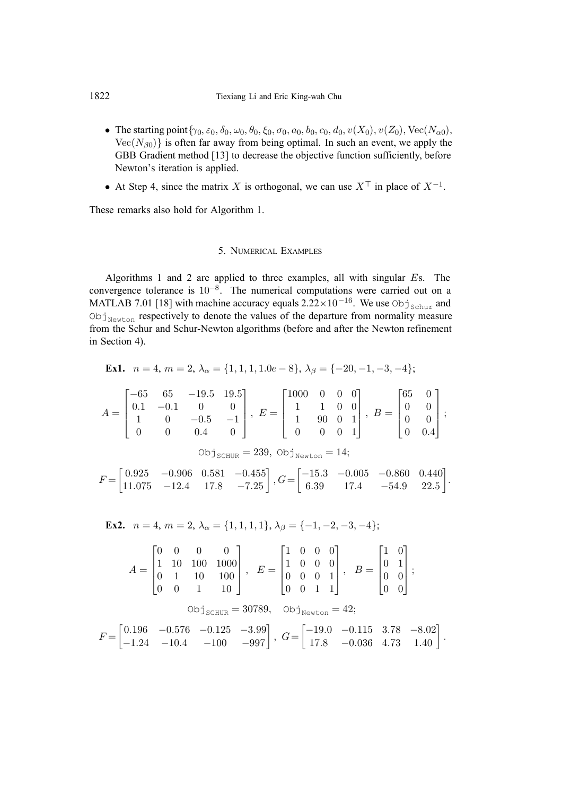- The starting point  $\{\gamma_0, \varepsilon_0, \delta_0, \omega_0, \theta_0, \xi_0, \sigma_0, a_0, b_0, c_0, d_0, v(X_0), v(Z_0), \text{Vec}(N_{\alpha 0}),\}$  $Vec(N<sub>β0</sub>)$  is often far away from being optimal. In such an event, we apply the GBB Gradient method [13] to decrease the objective function sufficiently, before Newton's iteration is applied.
- At Step 4, since the matrix X is orthogonal, we can use  $X^{\top}$  in place of  $X^{-1}$ .

These remarks also hold for Algorithm 1.

#### 5. NUMERICAL EXAMPLES

Algorithms 1 and 2 are applied to three examples, all with singular Es. The convergence tolerance is 10−8. The numerical computations were carried out on a MATLAB 7.01 [18] with machine accuracy equals  $2.22 \times 10^{-16}$ . We use Obj<sub>Schur</sub> and  $\mathrm{Obj}_{\mathrm{Newton}}$  respectively to denote the values of the departure from normality measure from the Schur and Schur-Newton algorithms (before and after the Newton refinement in Section 4).

**Ex1.** 
$$
n = 4, m = 2, \lambda_{\alpha} = \{1, 1, 1, 1.0e - 8\}, \lambda_{\beta} = \{-20, -1, -3, -4\};
$$

$$
A = \begin{bmatrix} -65 & 65 & -19.5 & 19.5 \\ 0.1 & -0.1 & 0 & 0 \\ 1 & 0 & -0.5 & -1 \\ 0 & 0 & 0.4 & 0 \end{bmatrix}, E = \begin{bmatrix} 1000 & 0 & 0 & 0 \\ 1 & 1 & 0 & 0 \\ 1 & 90 & 0 & 1 \\ 0 & 0 & 0 & 1 \end{bmatrix}, B = \begin{bmatrix} 65 & 0 \\ 0 & 0 \\ 0 & 0 \\ 0 & 0.4 \end{bmatrix};
$$
  
\n
$$
B = \begin{bmatrix} 65 & 0 \\ 0 & 0 \\ 0 & 0.4 \end{bmatrix};
$$
  
\n
$$
B = \begin{bmatrix} 65 & 0 \\ 0 & 0 \\ 0 & 0.4 \end{bmatrix};
$$
  
\n
$$
B = \begin{bmatrix} 65 & 0 \\ 0 & 0 \\ 0 & 0.4 \end{bmatrix};
$$
  
\n
$$
B = \begin{bmatrix} 65 & 0 \\ 0 & 0 \\ 0 & 0.4 \end{bmatrix}.
$$
  
\n
$$
B = \begin{bmatrix} 65 & 0 \\ 0 & 0 \\ 0 & 0.4 \end{bmatrix}.
$$

**Ex2.** 
$$
n = 4, m = 2, \lambda_{\alpha} = \{1, 1, 1, 1\}, \lambda_{\beta} = \{-1, -2, -3, -4\};
$$

$$
A = \begin{bmatrix} 0 & 0 & 0 & 0 \\ 1 & 10 & 100 & 1000 \\ 0 & 1 & 10 & 100 \\ 0 & 0 & 1 & 10 \end{bmatrix}, \quad E = \begin{bmatrix} 1 & 0 & 0 & 0 \\ 1 & 0 & 0 & 0 \\ 0 & 0 & 0 & 1 \\ 0 & 0 & 1 & 1 \end{bmatrix}, \quad B = \begin{bmatrix} 1 & 0 \\ 0 & 1 \\ 0 & 0 \\ 0 & 0 \end{bmatrix};
$$

$$
\text{Obj}_{\text{SCHUR}} = 30789, \quad \text{Obj}_{\text{Newton}} = 42;
$$

$$
F = \begin{bmatrix} 0.196 & -0.576 & -0.125 & -3.99 \\ -1.24 & -10.4 & -100 & -997 \end{bmatrix}, \quad G = \begin{bmatrix} -19.0 & -0.115 & 3.78 & -8.02 \\ 17.8 & -0.036 & 4.73 & 1.40 \end{bmatrix}.
$$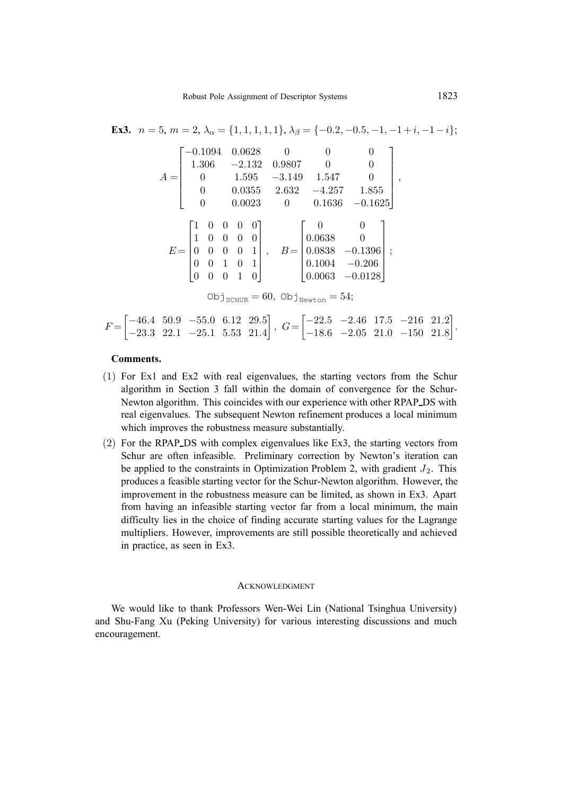**Ex3.** 
$$
n = 5
$$
,  $m = 2$ ,  $\lambda_{\alpha} = \{1, 1, 1, 1, 1\}$ ,  $\lambda_{\beta} = \{-0.2, -0.5, -1, -1 + i, -1 - i\}$ ;  
\n
$$
A = \begin{bmatrix}\n-0.1094 & 0.0628 & 0 & 0 & 0 \\
1.306 & -2.132 & 0.9807 & 0 & 0 \\
0 & 1.595 & -3.149 & 1.547 & 0 \\
0 & 0.0355 & 2.632 & -4.257 & 1.855 \\
0 & 0.0023 & 0 & 0.1636 & -0.1625\n\end{bmatrix}
$$
,  
\n
$$
E = \begin{bmatrix}\n1 & 0 & 0 & 0 & 0 \\
1 & 0 & 0 & 0 & 0 \\
0 & 0 & 0 & 0 & 1 \\
0 & 0 & 1 & 0 & 1 \\
0 & 0 & 0 & 1 & 0\n\end{bmatrix}
$$
,  $B = \begin{bmatrix}\n0 & 0 & 0 \\
0.0638 & 0 & 0 \\
0.0838 & -0.1396 & 0 \\
0.1004 & -0.206 & 0.0063 & -0.0128\n\end{bmatrix}$ ;  
\n
$$
Obj_{\text{SCHUR}} = 60, \text{Obj}_{\text{Newton}} = 54
$$
;  
\n
$$
F = \begin{bmatrix}\n-46.4 & 50.9 & -55.0 & 6.12 & 29.5 \\
29.2 & 99.1 & 95.1 & 552 & 91.4 \\
1 & 552 & 91.4 & 5 & 6\n\end{bmatrix}
$$
,  $G = \begin{bmatrix}\n-22.5 & -2.46 & 17.5 & -216 & 21.2 \\
18.6 & -9.05 & 21.0 & 150 & 21.2 \\
18.6 & -9.05 & 21.0 & 150 & 21.2 \\
19.6 & -9.05 & 21.0 & 150 & 21.2\n\end{bmatrix}$ .

**Comments.**

−23.3 22.1 −25.1 5.53 21.4

(1) For Ex1 and Ex2 with real eigenvalues, the starting vectors from the Schur algorithm in Section 3 fall within the domain of convergence for the Schur-Newton algorithm. This coincides with our experience with other RPAP DS with real eigenvalues. The subsequent Newton refinement produces a local minimum which improves the robustness measure substantially.

−18.6 −2.05 21.0 −150 21.8

(2) For the RPAP DS with complex eigenvalues like Ex3, the starting vectors from Schur are often infeasible. Preliminary correction by Newton's iteration can be applied to the constraints in Optimization Problem 2, with gradient  $J_2$ . This produces a feasible starting vector for the Schur-Newton algorithm. However, the improvement in the robustness measure can be limited, as shown in Ex3. Apart from having an infeasible starting vector far from a local minimum, the main difficulty lies in the choice of finding accurate starting values for the Lagrange multipliers. However, improvements are still possible theoretically and achieved in practice, as seen in Ex3.

### ACKNOWLEDGMENT

We would like to thank Professors Wen-Wei Lin (National Tsinghua University) and Shu-Fang Xu (Peking University) for various interesting discussions and much encouragement.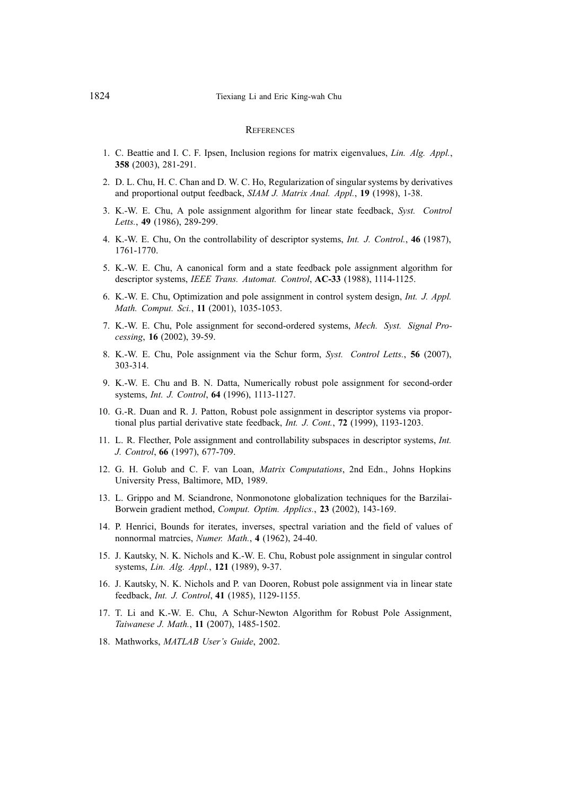### **REFERENCES**

- 1. C. Beattie and I. C. F. Ipsen, Inclusion regions for matrix eigenvalues, *Lin. Alg. Appl.*, **358** (2003), 281-291.
- 2. D. L. Chu, H. C. Chan and D. W. C. Ho, Regularization of singular systems by derivatives and proportional output feedback, *SIAM J. Matrix Anal. Appl.*, **19** (1998), 1-38.
- 3. K.-W. E. Chu, A pole assignment algorithm for linear state feedback, *Syst. Control Letts.*, **49** (1986), 289-299.
- 4. K.-W. E. Chu, On the controllability of descriptor systems, *Int. J. Control.*, **46** (1987), 1761-1770.
- 5. K.-W. E. Chu, A canonical form and a state feedback pole assignment algorithm for descriptor systems, *IEEE Trans. Automat. Control*, **AC-33** (1988), 1114-1125.
- 6. K.-W. E. Chu, Optimization and pole assignment in control system design, *Int. J. Appl. Math. Comput. Sci.*, **11** (2001), 1035-1053.
- 7. K.-W. E. Chu, Pole assignment for second-ordered systems, *Mech. Syst. Signal Processing*, **16** (2002), 39-59.
- 8. K.-W. E. Chu, Pole assignment via the Schur form, *Syst. Control Letts.*, **56** (2007), 303-314.
- 9. K.-W. E. Chu and B. N. Datta, Numerically robust pole assignment for second-order systems, *Int. J. Control*, **64** (1996), 1113-1127.
- 10. G.-R. Duan and R. J. Patton, Robust pole assignment in descriptor systems via proportional plus partial derivative state feedback, *Int. J. Cont.*, **72** (1999), 1193-1203.
- 11. L. R. Flecther, Pole assignment and controllability subspaces in descriptor systems, *Int. J. Control*, **66** (1997), 677-709.
- 12. G. H. Golub and C. F. van Loan, *Matrix Computations*, 2nd Edn., Johns Hopkins University Press, Baltimore, MD, 1989.
- 13. L. Grippo and M. Sciandrone, Nonmonotone globalization techniques for the Barzilai-Borwein gradient method, *Comput. Optim. Applics.*, **23** (2002), 143-169.
- 14. P. Henrici, Bounds for iterates, inverses, spectral variation and the field of values of nonnormal matrcies, *Numer. Math.*, **4** (1962), 24-40.
- 15. J. Kautsky, N. K. Nichols and K.-W. E. Chu, Robust pole assignment in singular control systems, *Lin. Alg. Appl.*, **121** (1989), 9-37.
- 16. J. Kautsky, N. K. Nichols and P. van Dooren, Robust pole assignment via in linear state feedback, *Int. J. Control*, **41** (1985), 1129-1155.
- 17. T. Li and K.-W. E. Chu, A Schur-Newton Algorithm for Robust Pole Assignment, *Taiwanese J. Math.*, **11** (2007), 1485-1502.
- 18. Mathworks, *MATLAB User's Guide*, 2002.